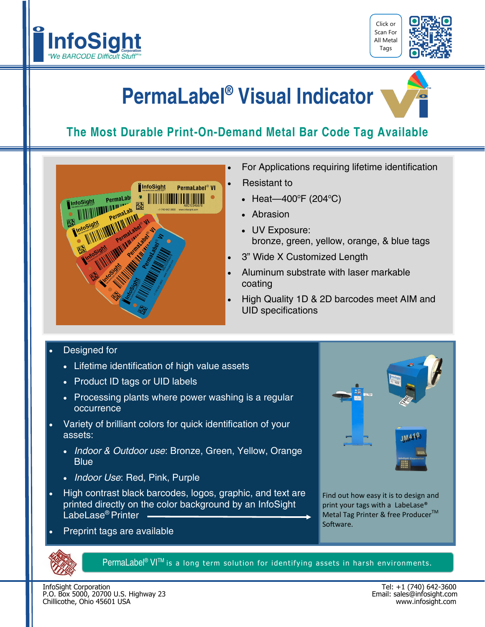



# **PermaLabel® Visual Indicator**

### **The Most Durable Print-On-Demand Metal Bar Code Tag Available**



- For Applications requiring lifetime identification
- Resistant to
- Heat—400°F (204°C)
- Abrasion
- UV Exposure: bronze, green, yellow, orange, & blue tags
- 3" Wide X Customized Length
- Aluminum substrate with laser markable coating
- High Quality 1D & 2D barcodes meet AIM and UID specifications

#### Designed for

- Lifetime identification of high value assets
- Product ID tags or UID labels
- Processing plants where power washing is a regular occurrence
- Variety of brilliant colors for quick identification of your assets:
	- *Indoor & Outdoor use*: Bronze, Green, Yellow, Orange **Blue**
	- *Indoor Use*: Red, Pink, Purple
- High contrast black barcodes, logos, graphic, and text are printed directly on the color background by an InfoSight LabeLase<sup>®</sup> Printer –
- Preprint tags are available



Find out how easy it is to design and print your tags with a LabeLase® Metal Tag Printer & free Producer<sup>™</sup> Software.



 $Permalable^{\circledast}$  VI<sup>TM</sup> is a long term solution for identifying assets in harsh environments.